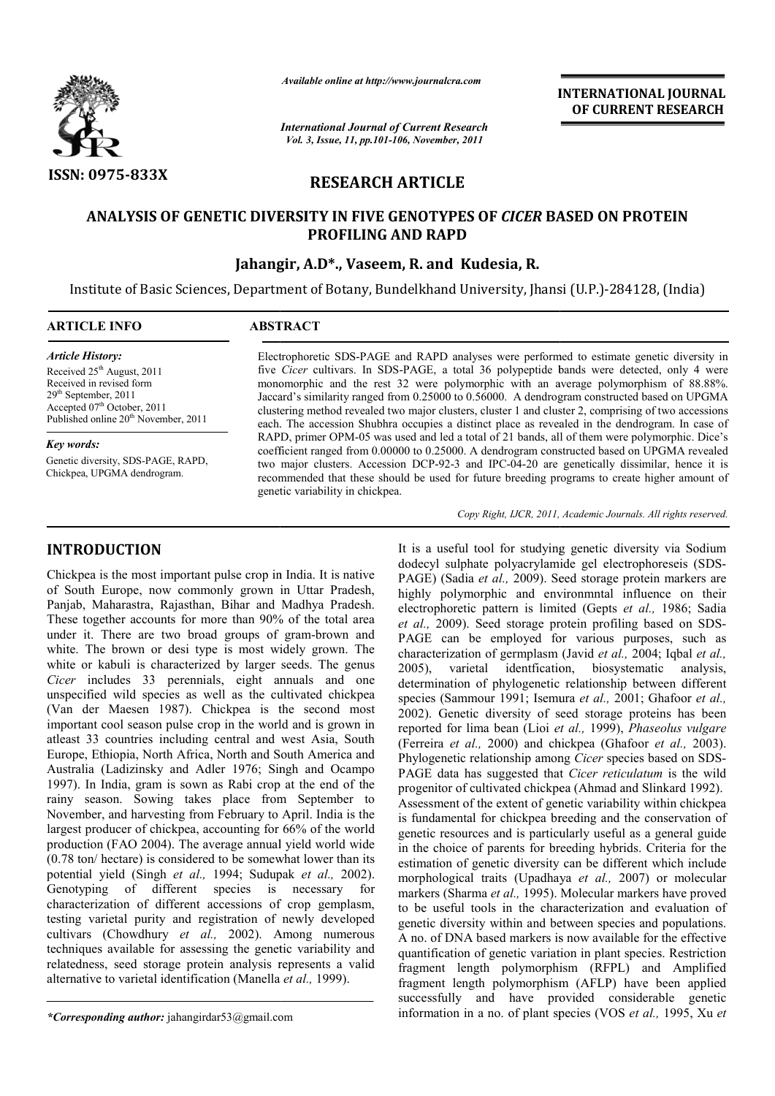

*Available online at http://www.journalcra.com*

*International Journal of Current Research Vol. 3, Issue, 11, pp.101-106, November, 2011*

**INTERNATIONAL INTERNATIONAL JOURNAL OF CURRENT RESEARCH** 

# **RESEARCH ARTICLE**

## **ANALYSIS OF GENETIC DIVERSITY IN FIVE GENOTYPES OF**  *CICER* **BASED ON PROTEIN PROFILING AND RAPD**

## **Jahangir, A.D A.D\*., Vaseem, R. and Kudesia, R.**

Institute of Basic Sciences, Department of Botany, Bundelkhand University, Jhansi (U.P.)-284128, (India)  $\overline{a}$ 

| <b>ARTICLE INFO</b>                                                                                                                                                                                                    | <b>ABSTRACT</b>                                                                                                                                                                                                                                                                                                                                                                                                                                                                                                                                                                                    |
|------------------------------------------------------------------------------------------------------------------------------------------------------------------------------------------------------------------------|----------------------------------------------------------------------------------------------------------------------------------------------------------------------------------------------------------------------------------------------------------------------------------------------------------------------------------------------------------------------------------------------------------------------------------------------------------------------------------------------------------------------------------------------------------------------------------------------------|
| <b>Article History:</b><br>Received 25 <sup>th</sup> August, 2011<br>Received in revised form<br>$29th$ September, 2011<br>Accepted 07 <sup>th</sup> October, 2011<br>Published online 20 <sup>th</sup> November, 2011 | Electrophoretic SDS-PAGE and RAPD analyses were performed to estimate genetic diversity in<br>five <i>Cicer</i> cultivars. In SDS-PAGE, a total 36 polypeptide bands were detected, only 4 were<br>monomorphic and the rest 32 were polymorphic with an average polymorphism of 88.88%.<br>Jaccard's similarity ranged from 0.25000 to 0.56000. A dendrogram constructed based on UPGMA<br>clustering method revealed two major clusters, cluster 1 and cluster 2, comprising of two accessions<br>each. The accession Shubhra occupies a distinct place as revealed in the dendrogram. In case of |
| Key words:                                                                                                                                                                                                             | RAPD, primer OPM-05 was used and led a total of 21 bands, all of them were polymorphic. Dice's<br>coefficient ranged from 0.00000 to 0.25000. A dendrogram constructed based on UPGMA revealed                                                                                                                                                                                                                                                                                                                                                                                                     |
| Genetic diversity, SDS-PAGE, RAPD,<br>Chickpea, UPGMA dendrogram.                                                                                                                                                      | two major clusters. Accession DCP-92-3 and IPC-04-20 are genetically dissimilar, hence it is<br>recommended that these should be used for future breeding programs to create higher amount of<br>genetic variability in chickpea.                                                                                                                                                                                                                                                                                                                                                                  |
|                                                                                                                                                                                                                        | Complicht HCD 2011 Academic Journals All rights researed                                                                                                                                                                                                                                                                                                                                                                                                                                                                                                                                           |

*Copy Right, IJCR, 2011, Academic Journals Copy Right, Journals. All rights reserved.*

## **INTRODUCTION**

Chickpea is the most important pulse crop in India. It is native of South Europe, now commonly grown in Uttar Pradesh, Panjab, Maharastra, Rajasthan, Bihar and Madhya Pradesh. These together accounts for more than 90% of the total area under it. There are two broad groups of gram-brown and white. The brown or desi type is most widely grown. The white or kabuli is characterized by larger seeds. The genus *Cicer* includes 33 perennials, eight annuals and one unspecified wild species as well as the cultivated chickpea nspecified (Van der Maesen 1987). Chickpea is the second most important cool season pulse crop in the world and is grown in atleast 33 countries including central and west Asia, South Europe, Ethiopia, North Africa, North and South America and Australia (Ladizinsky and Adler 1976; Singh and Ocampo 1997). In India, gram is sown as Rabi crop at the end of the rainy season. Sowing takes place from September to November, and harvesting from February to April. India is the largest producer of chickpea, accounting for 66% of the world production (FAO 2004). The average annual yield world wide (0.78 ton/ hectare) is considered to be somewhat lower than its potential yield (Singh *et al.,* 1994; Sudupak *et al.,* 2002). Genotyping of different species is necessary for characterization of different accessions of crop gemplasm, testing varietal purity and registration of newly developed cultivars (Chowdhury *et al.,* 2002). Among numerous techniques available for assessing the genetic variability and relatedness, seed storage protein analysis represents a valid alternative to varietal identification (Manella *et al.,* 1999).

*\*Corresponding author:* jahangirdar53@gmail.com

It is a useful tool for studying genetic diversity via Sodium It is a useful tool for studying genetic diversity via Sodium<br>dodecyl sulphate polyacrylamide gel electrophoreseis (SDS-PAGE) (Sadia *et al.,* 2009). Seed storage protein markers are highly polymorphic and environmntal influence on their electrophoretic pattern is limited (Gepts et al., 1986; Sadia et al., 2009). Seed storage protein profiling based on SDS-PAGE can be employed for various purposes, such as characterization of germplasm (Javid *et al.,* 2004; Iqbal *et al.,* 2005), varietal identfication, biosystematic analysis, determination of phylogenetic relationship between different species (Sammour 1991; Isemura *et al.,* 2001; Ghafoor *et al.,* 2002). Genetic diversity of seed storage proteins has been reported for lima bean (Lioi et al., 1999), *Phaseolus vulgare* (Ferreira *et al.,* 2000) and chickpea (Ghafoor *et al.,* 2003). Phylogenetic relationship among *Cicer* species based on SDS-PAGE data has suggested that Cicer reticulatum is the wild progenitor of cultivated chickpea (Ahmad and Slinkard 1992). Assessment of the extent of genetic variability within chickpea is fundamental for chickpea breeding and the conservation of genetic resources and is particularly useful as a general guide in the choice of parents for breeding hybrids. Criteria for the progenitor of cultivated chickpea (Ahmad and Slinkard 1992).<br>Assessment of the extent of genetic variability within chickpea<br>is fundamental for chickpea breeding and the conservation of<br>genetic resources and is particularl morphological traits (Upadhaya *et al.,* 2007) or molecular markers (Sharma *et al.,* 1995). Molecular markers have proved to be useful tools in the characterization and evaluation of genetic diversity within and between species and populations. A no. of DNA based markers is now available for the effective quantification of genetic variation in plant species. Restriction fragment length polymorphism (RFPL) and Amplified fragment length polymorphism (AFLP) have been applied successfully and have provided considerable genetic information in a no. of plant species (VOS *et al.,* 1995, Xu *et*  (Sadia *et al.*, 2009). Seed storage protein markers are polymorphic and environmital influence on their horetic pattern is limited (Gepts *et al.*, 1986; Sadia be useful tools in the characterization and evaluation of netic diversity within and between species and populations. no. of DNA based markers is now available for the effective antification of genetic variation in plant s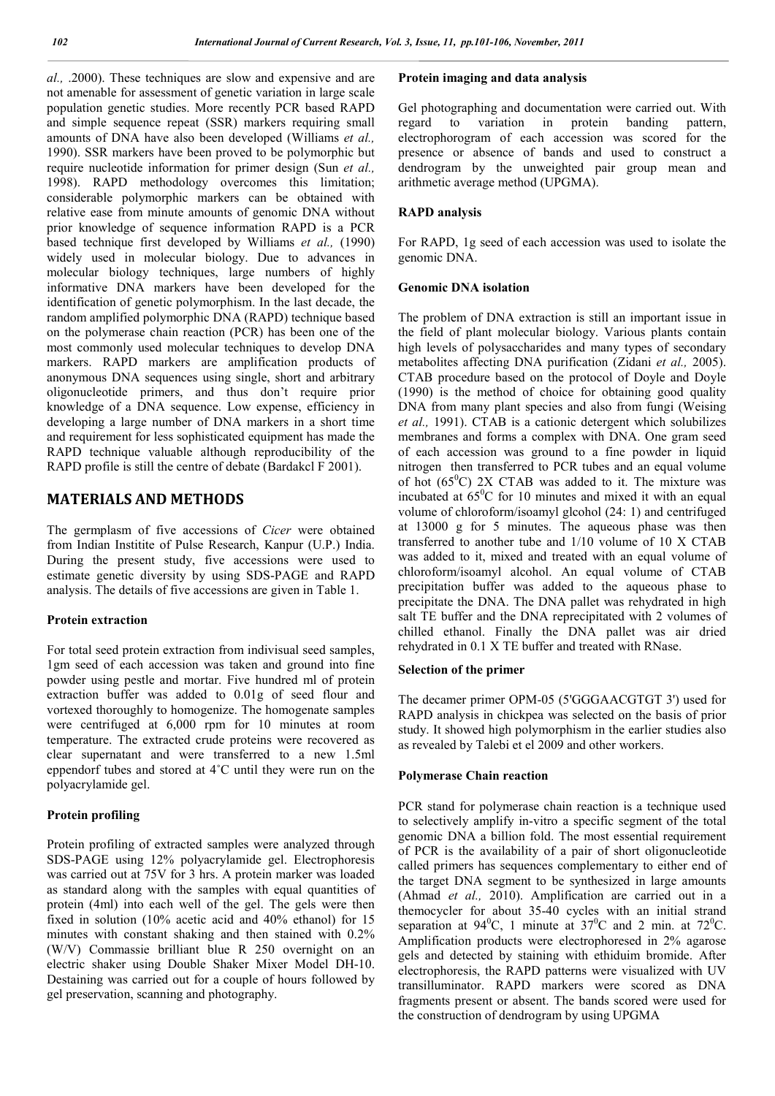*al.,* .2000). These techniques are slow and expensive and are not amenable for assessment of genetic variation in large scale population genetic studies. More recently PCR based RAPD and simple sequence repeat (SSR) markers requiring small amounts of DNA have also been developed (Williams *et al.,* 1990). SSR markers have been proved to be polymorphic but require nucleotide information for primer design (Sun *et al.,* 1998). RAPD methodology overcomes this limitation; considerable polymorphic markers can be obtained with relative ease from minute amounts of genomic DNA without prior knowledge of sequence information RAPD is a PCR based technique first developed by Williams *et al.,* (1990) widely used in molecular biology. Due to advances in molecular biology techniques, large numbers of highly informative DNA markers have been developed for the identification of genetic polymorphism. In the last decade, the random amplified polymorphic DNA (RAPD) technique based on the polymerase chain reaction (PCR) has been one of the most commonly used molecular techniques to develop DNA markers. RAPD markers are amplification products of anonymous DNA sequences using single, short and arbitrary oligonucleotide primers, and thus don't require prior knowledge of a DNA sequence. Low expense, efficiency in developing a large number of DNA markers in a short time and requirement for less sophisticated equipment has made the RAPD technique valuable although reproducibility of the RAPD profile is still the centre of debate (Bardakcl F 2001).

## **MATERIALS AND METHODS**

The germplasm of five accessions of *Cicer* were obtained from Indian Institite of Pulse Research, Kanpur (U.P.) India. During the present study, five accessions were used to estimate genetic diversity by using SDS-PAGE and RAPD analysis. The details of five accessions are given in Table 1.

## **Protein extraction**

For total seed protein extraction from indivisual seed samples, 1gm seed of each accession was taken and ground into fine powder using pestle and mortar. Five hundred ml of protein extraction buffer was added to 0.01g of seed flour and vortexed thoroughly to homogenize. The homogenate samples were centrifuged at 6,000 rpm for 10 minutes at room temperature. The extracted crude proteins were recovered as clear supernatant and were transferred to a new 1.5ml eppendorf tubes and stored at 4˚C until they were run on the polyacrylamide gel.

## **Protein profiling**

Protein profiling of extracted samples were analyzed through SDS-PAGE using 12% polyacrylamide gel. Electrophoresis was carried out at 75V for 3 hrs. A protein marker was loaded as standard along with the samples with equal quantities of protein (4ml) into each well of the gel. The gels were then fixed in solution (10% acetic acid and 40% ethanol) for 15 minutes with constant shaking and then stained with 0.2% (W/V) Commassie brilliant blue R 250 overnight on an electric shaker using Double Shaker Mixer Model DH-10. Destaining was carried out for a couple of hours followed by gel preservation, scanning and photography.

## **Protein imaging and data analysis**

Gel photographing and documentation were carried out. With regard to variation in protein banding pattern, electrophorogram of each accession was scored for the presence or absence of bands and used to construct a dendrogram by the unweighted pair group mean and arithmetic average method (UPGMA).

### **RAPD analysis**

For RAPD, 1g seed of each accession was used to isolate the genomic DNA.

#### **Genomic DNA isolation**

The problem of DNA extraction is still an important issue in the field of plant molecular biology. Various plants contain high levels of polysaccharides and many types of secondary metabolites affecting DNA purification (Zidani *et al.,* 2005). CTAB procedure based on the protocol of Doyle and Doyle (1990) is the method of choice for obtaining good quality DNA from many plant species and also from fungi (Weising *et al.,* 1991). CTAB is a cationic detergent which solubilizes membranes and forms a complex with DNA. One gram seed of each accession was ground to a fine powder in liquid nitrogen then transferred to PCR tubes and an equal volume of hot  $(65^{\circ}C)$  2X CTAB was added to it. The mixture was incubated at  $65^{\circ}$ C for 10 minutes and mixed it with an equal volume of chloroform/isoamyl glcohol (24: 1) and centrifuged at 13000 g for 5 minutes. The aqueous phase was then transferred to another tube and 1/10 volume of 10 X CTAB was added to it, mixed and treated with an equal volume of chloroform/isoamyl alcohol. An equal volume of CTAB precipitation buffer was added to the aqueous phase to precipitate the DNA. The DNA pallet was rehydrated in high salt TE buffer and the DNA reprecipitated with 2 volumes of chilled ethanol. Finally the DNA pallet was air dried rehydrated in 0.1 X TE buffer and treated with RNase.

#### **Selection of the primer**

The decamer primer OPM-05 (5'GGGAACGTGT 3') used for RAPD analysis in chickpea was selected on the basis of prior study. It showed high polymorphism in the earlier studies also as revealed by Talebi et el 2009 and other workers.

### **Polymerase Chain reaction**

PCR stand for polymerase chain reaction is a technique used to selectively amplify in-vitro a specific segment of the total genomic DNA a billion fold. The most essential requirement of PCR is the availability of a pair of short oligonucleotide called primers has sequences complementary to either end of the target DNA segment to be synthesized in large amounts (Ahmad *et al.,* 2010). Amplification are carried out in a themocycler for about 35-40 cycles with an initial strand separation at  $94^{\circ}$ C, 1 minute at  $37^{\circ}$ C and 2 min. at  $72^{\circ}$ C. Amplification products were electrophoresed in 2% agarose gels and detected by staining with ethiduim bromide. After electrophoresis, the RAPD patterns were visualized with UV transilluminator. RAPD markers were scored as DNA fragments present or absent. The bands scored were used for the construction of dendrogram by using UPGMA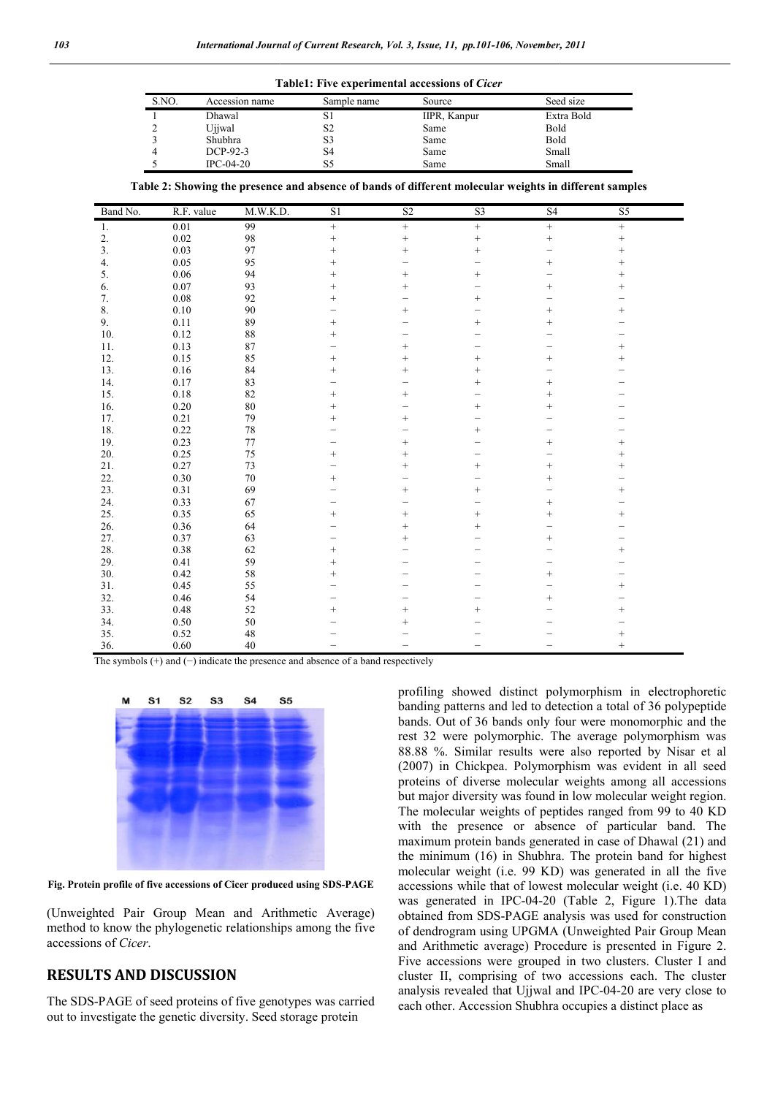| <b>Table1: Five experimental accessions of Cicer</b> |                    |             |              |             |  |  |
|------------------------------------------------------|--------------------|-------------|--------------|-------------|--|--|
| S.NO.                                                | Accession name     | Sample name | Source       | Seed size   |  |  |
|                                                      | Dhawal             | S1          | IIPR, Kanpur | Extra Bold  |  |  |
|                                                      | Ujiwal             | S2          | Same         | <b>Bold</b> |  |  |
|                                                      | Shubhra            | S3          | Same         | <b>Bold</b> |  |  |
| 4                                                    | DCP-92-3           | S4          | Same         | Small       |  |  |
|                                                      | $\text{IPC}-04-20$ | S5          | Same         | Small       |  |  |

Table 2: Showing the presence and absence of bands of different molecular weights in different samples

|                |                       |           | Table1: Five experimental accessions of Cicer                                                          |                |                     |                   |                        |
|----------------|-----------------------|-----------|--------------------------------------------------------------------------------------------------------|----------------|---------------------|-------------------|------------------------|
|                | SNO<br>Accession name |           | Sample name                                                                                            | Source         |                     | Seed size         |                        |
| 1              | Dhawal                |           | S1                                                                                                     |                | <b>IIPR, Kanpur</b> | Extra Bold        |                        |
| $\overline{c}$ | Ujjwal                |           | S <sub>2</sub>                                                                                         | Same           |                     | <b>Bold</b>       |                        |
| 3              | Shubhra               |           | S3                                                                                                     | Same           |                     | Bold              |                        |
| $\overline{4}$ | DCP-92-3              |           | S <sub>4</sub>                                                                                         | Same           |                     | Small             |                        |
|                | 5                     | IPC-04-20 | S <sub>5</sub>                                                                                         | Same           |                     | Small             |                        |
|                |                       |           | Table 2: Showing the presence and absence of bands of different molecular weights in different samples |                |                     |                   |                        |
| Band No.       | R.F. value            | M.W.K.D.  | S1                                                                                                     | S <sub>2</sub> | S <sub>3</sub>      | S <sub>4</sub>    | $\overline{\text{S5}}$ |
|                | $0.01\,$              | 99        | $^{+}$                                                                                                 | $^{+}$         | $^{+}$              | $\qquad \qquad +$ | $^+$                   |
|                | 0.02                  | 98        | $^{+}$                                                                                                 | $\ddot{}$      | $^{+}$              | $\qquad \qquad +$ | $^+$                   |
|                | 0.03                  | 97        | $^{+}$                                                                                                 | $^{+}$         | $^{+}$              |                   | $^{+}$                 |
|                | 0.05                  | 95        | $^{+}$                                                                                                 |                |                     | $^{+}$            | $\qquad \qquad +$      |
|                | 0.06                  | 94        | $\ddot{}$                                                                                              | $\ddot{}$      | $\ddot{}$           |                   | $+$                    |
|                | 0.07                  | 93        | $^{+}$                                                                                                 | $^{+}$         |                     | $^{+}$            | $^{+}$                 |
|                | 0.08                  | 92        | $^{+}$                                                                                                 |                | $^{+}$              |                   |                        |
|                | 0.10                  | 90        |                                                                                                        | $^{+}$         |                     | $^{+}$            | $^{+}$                 |
| 9.             | 0.11                  | 89        | $^{+}$                                                                                                 |                | $^{+}$              | $^{+}$            |                        |
| 10.            | 0.12                  | $\bf 88$  | $^{+}$                                                                                                 |                |                     |                   |                        |
| 11.            | 0.13                  | 87        |                                                                                                        | $^{+}$         |                     |                   | $^{+}$                 |
| 12.            | 0.15                  | 85        | $^{+}$                                                                                                 | $^{+}$         | $^{+}$              | $^{+}$            | $^{+}$                 |
| 13.            | 0.16                  | 84        | $^{+}$                                                                                                 | $^{+}$         | $^{+}$              |                   |                        |
| 14.            | 0.17                  | 83        |                                                                                                        |                | $^{+}$              | $^{+}$            |                        |
| 15.            | 0.18                  | 82        | $^{+}$                                                                                                 | $^{+}$         |                     | $^{+}$            |                        |
| 16.            | $0.20\,$              | 80        | $^{+}$                                                                                                 |                | $^{+}$              | $+$               |                        |
| 17.            | 0.21                  | 79        | $^{+}$                                                                                                 | $^{+}$         |                     |                   |                        |
| 18.            | 0.22                  | 78        |                                                                                                        |                | $\ddot{}$           |                   |                        |
| 19.            | 0.23                  | 77        |                                                                                                        | $^{+}$         |                     | $^{+}$            | $^{+}$                 |
| 20.            | 0.25                  | 75        | $^{+}$                                                                                                 | $^{+}$         |                     | $\ddot{}$         | $^{+}$                 |
| 21.<br>22.     | 0.27                  | 73        |                                                                                                        | $^{+}$         | $^{+}$              |                   | $^{+}$                 |
|                | 0.30<br>0.31          | 70<br>69  | $^{+}$                                                                                                 | $^{+}$         | $^{+}$              | $\qquad \qquad +$ | $^{+}$                 |
| 23.<br>24.     | 0.33                  | 67        |                                                                                                        |                |                     | $^{+}$            |                        |
| 25.            | 0.35                  | 65        | $^{+}$                                                                                                 | $+$            | $^{+}$              | $^{+}$            | $^{+}$                 |
| 26.            | 0.36                  | 64        |                                                                                                        | $^{+}$         | $^{+}$              |                   |                        |
| 27.            | 0.37                  | 63        |                                                                                                        | $^{+}$         |                     | $\qquad \qquad +$ |                        |
| 28.            | 0.38                  | 62        | $\ddot{}$                                                                                              |                |                     |                   |                        |
| 29.            | 0.41                  | 59        | $^{+}$                                                                                                 |                |                     |                   |                        |
| 30.            | 0.42                  | 58        | $^{+}$                                                                                                 |                |                     | $^{+}$            |                        |
| 31.            | 0.45                  | 55        |                                                                                                        |                |                     |                   | $^{+}$                 |
| 32.            | 0.46                  | 54        |                                                                                                        |                |                     | $^{+}$            |                        |
| 33.            | 0.48                  | 52        | $^{+}$                                                                                                 | $^{+}$         | $^{+}$              |                   | $^{+}$                 |
| 34.            | 0.50                  | 50        |                                                                                                        | $^{+}$         |                     |                   |                        |
| 35.            | 0.52                  | 48        |                                                                                                        |                |                     |                   | $\qquad \qquad +$      |
| 36.            | 0.60                  | 40        |                                                                                                        |                |                     |                   | $^{+}$                 |



**Fig. Protein profile of five accessions of Cicer produced using SDS SDS-PAGE**

(Unweighted Pair Group Mean and Arithmetic Average) method to know the phylogenetic relationships among the five accessions of *Cicer*.

## **RESULTS AND DISCUSSION**

The SDS-PAGE of seed proteins of five genotypes was carried out to investigate the genetic diversity. Seed storage protein

**M 51 52 53 54 55**<br>
profiling showed distinct polymorphism in electrophoreic<br>
banding patterns and led to detection a total of 36 polypeptide<br>
bands. Out of 36 bands only four were monomorphie and the<br>
rest 32 were polymo banding patterns and led to detection a total of 36 polypeptide bands. Out of 36 bands only four were monomorphic and the rest 32 were polymorphic. The average polymorphism was 88.88 %. Similar results were also reported by Nisar et al (2007) in Chickpea. Polymorphism was evident in all seed proteins of diverse molecular weights among all accessions but major diversity was found in low molecular weight region. The molecular weights of peptides ranged from 99 to 40 KD with the presence or absence of particular band. The maximum protein bands generated in case of Dhawal (21) and the minimum (16) in Shubhra. The protein band for highest molecular weight (i.e. 99 KD) was generated in all the five accessions while that of lowest molecular weight (i.e. 40 KD) was generated in IPC-04-20 (Table 2, Figure 1).The data obtained from SDS-PAGE analysis was used for construction of dendrogram using UPGMA (Unweighted Pair Group Mean and Arithmetic average) Procedure is presented in Figure 2. Five accessions were grouped in two clusters. Cluster I and cluster II, comprising of two accessions each. The cluster Five accessions were grouped in two clusters. Cluster I and cluster II, comprising of two accessions each. The cluster analysis revealed that Ujjwal and IPC-04-20 are very close to each other. Accession Shubhra occupies a distinct place as profiling showed distinct polymorphism in electrophoretic<br>banding patterns and led to detection a total of 36 polypeptide<br>bands. Out of 36 bands only four were monomorphic and the<br>rest 32 were polymorphic. The average poly e presence or absence of particular band. The m protein bands generated in case of Dhawal (21) and imum (16) in Shubhra. The protein band for highest ar weight (i.e. 99 KD) was generated in all the five ns while that of lo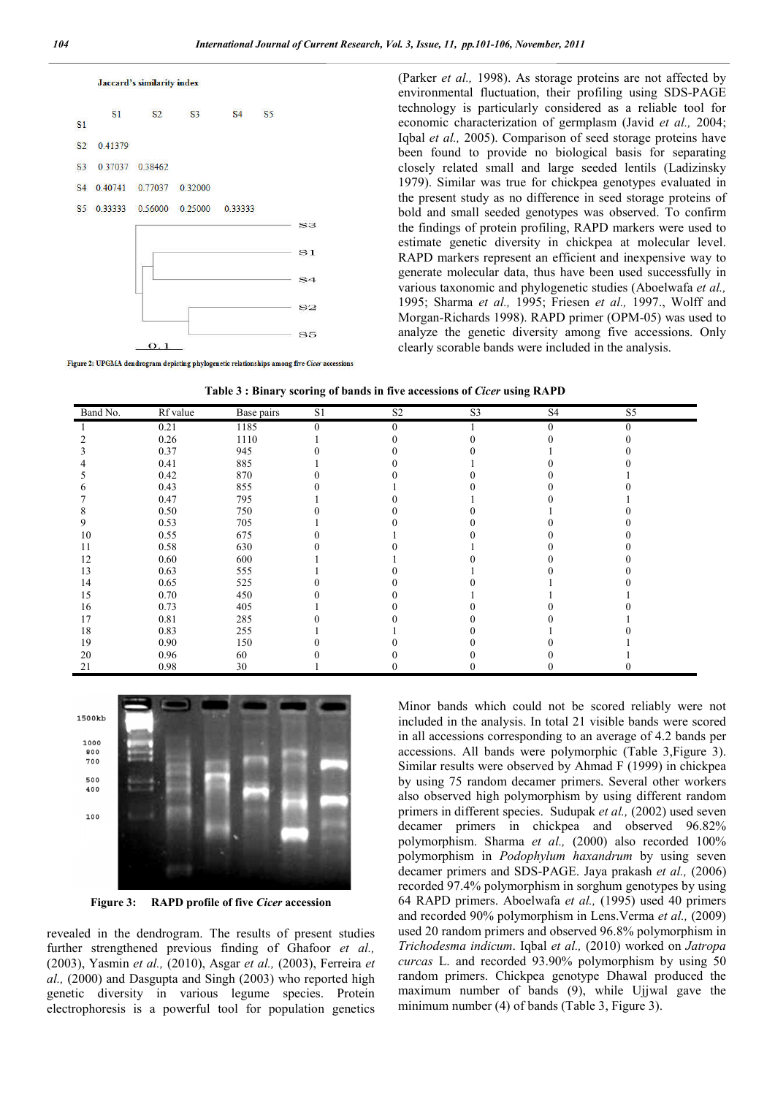

Figure 2: UPGMA dendrogram depicting phylogenetic relationships among five Cicer accessions

(Parker *et al.,* 1998). As storage proteins are not affected by environmental fluctuation, their profiling using SDS-PAGE technology is particularly considered as a reliable tool for economic characterization of germplasm (Javid *et al.,* 2004; Iqbal *et al.,* 2005). Comparison of seed storage proteins have been found to provide no biological basis for separating closely related small and large seeded lentils (Ladizinsky 1979). Similar was true for chickpea genotypes evaluated in the present study as no difference in seed storage proteins of bold and small seeded genotypes was observed. To confirm the findings of protein profiling, RAPD markers were used to estimate genetic diversity in chickpea at molecular level. RAPD markers represent an efficient and inexpensive way to generate molecular data, thus have been used successfully in various taxonomic and phylogenetic studies (Aboelwafa *et al.,* 1995; Sharma *et al.,* 1995; Friesen *et al.,* 1997., Wolff and Morgan-Richards 1998). RAPD primer (OPM-05) was used to analyze the genetic diversity among five accessions. Only clearly scorable bands were included in the analysis.

**Table 3 : Binary scoring of bands in five accessions of** *Cicer* **using RAPD**

| Band No. | Rf value | Base pairs | S1       | S <sub>2</sub> | S3 | S <sub>4</sub> | S5       |
|----------|----------|------------|----------|----------------|----|----------------|----------|
|          | 0.21     | 1185       | $\Omega$ | $\Omega$       |    | $\Omega$       | $\Omega$ |
|          | 0.26     | 1110       |          |                |    |                |          |
|          | 0.37     | 945        |          |                |    |                |          |
|          | 0.41     | 885        |          |                |    |                |          |
|          | 0.42     | 870        |          |                |    |                |          |
|          | 0.43     | 855        |          |                |    |                |          |
|          | 0.47     | 795        |          |                |    |                |          |
|          | 0.50     | 750        |          |                |    |                |          |
|          | 0.53     | 705        |          |                |    |                |          |
| 10       | 0.55     | 675        |          |                |    |                |          |
| 11       | 0.58     | 630        |          |                |    |                |          |
| 12       | 0.60     | 600        |          |                |    |                |          |
| 13       | 0.63     | 555        |          |                |    |                |          |
| 14       | 0.65     | 525        |          |                |    |                |          |
| 15       | 0.70     | 450        |          |                |    |                |          |
| 16       | 0.73     | 405        |          |                |    |                |          |
| 17       | 0.81     | 285        |          |                |    |                |          |
| 18       | 0.83     | 255        |          |                |    |                |          |
| 19       | 0.90     | 150        |          |                |    |                |          |
| 20       | 0.96     | 60         |          |                |    |                |          |
| 21       | 0.98     | 30         |          |                |    |                |          |



**Figure 3: RAPD profile of five** *Cicer* **accession**

revealed in the dendrogram. The results of present studies further strengthened previous finding of Ghafoor *et al.,* (2003), Yasmin *et al.,* (2010), Asgar *et al.,* (2003), Ferreira *et al.,* (2000) and Dasgupta and Singh (2003) who reported high genetic diversity in various legume species. Protein electrophoresis is a powerful tool for population genetics

Minor bands which could not be scored reliably were not included in the analysis. In total 21 visible bands were scored in all accessions corresponding to an average of 4.2 bands per accessions. All bands were polymorphic (Table 3,Figure 3). Similar results were observed by Ahmad F (1999) in chickpea by using 75 random decamer primers. Several other workers also observed high polymorphism by using different random primers in different species. Sudupak *et al.,* (2002) used seven decamer primers in chickpea and observed 96.82% polymorphism. Sharma *et al.,* (2000) also recorded 100% polymorphism in *Podophylum haxandrum* by using seven decamer primers and SDS-PAGE. Jaya prakash *et al.,* (2006) recorded 97.4% polymorphism in sorghum genotypes by using 64 RAPD primers. Aboelwafa *et al.,* (1995) used 40 primers and recorded 90% polymorphism in Lens.Verma *et al.,* (2009) used 20 random primers and observed 96.8% polymorphism in *Trichodesma indicum*. Iqbal *et al.,* (2010) worked on *Jatropa curcas* L. and recorded 93.90% polymorphism by using 50 random primers. Chickpea genotype Dhawal produced the maximum number of bands (9), while Ujjwal gave the minimum number (4) of bands (Table 3, Figure 3).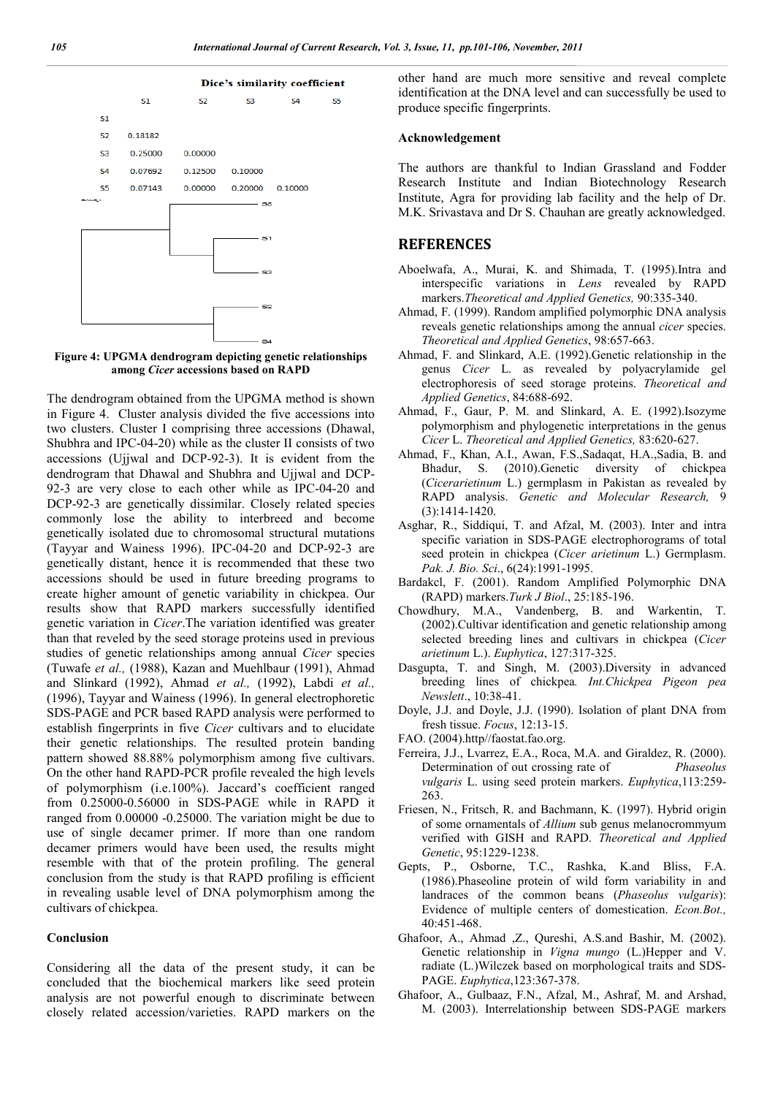

**Figure 4: UPGMA dendrogram depicting genetic relationships among** *Cicer* **accessions based on RAPD**

The dendrogram obtained from the UPGMA method is shown in Figure 4. Cluster analysis divided the five accessions into two clusters. Cluster I comprising three accessions (Dhawal, Shubhra and IPC-04-20) while as the cluster II consists of two accessions (Ujjwal and DCP-92-3). It is evident from the dendrogram that Dhawal and Shubhra and Ujjwal and DCP-92-3 are very close to each other while as IPC-04-20 and DCP-92-3 are genetically dissimilar. Closely related species commonly lose the ability to interbreed and become genetically isolated due to chromosomal structural mutations (Tayyar and Wainess 1996). IPC-04-20 and DCP-92-3 are genetically distant, hence it is recommended that these two accessions should be used in future breeding programs to create higher amount of genetic variability in chickpea. Our results show that RAPD markers successfully identified genetic variation in *Cicer*.The variation identified was greater than that reveled by the seed storage proteins used in previous studies of genetic relationships among annual *Cicer* species (Tuwafe *et al.,* (1988), Kazan and Muehlbaur (1991), Ahmad and Slinkard (1992), Ahmad *et al.,* (1992), Labdi *et al.,* (1996), Tayyar and Wainess (1996). In general electrophoretic SDS-PAGE and PCR based RAPD analysis were performed to establish fingerprints in five *Cicer* cultivars and to elucidate their genetic relationships. The resulted protein banding pattern showed 88.88% polymorphism among five cultivars. On the other hand RAPD-PCR profile revealed the high levels of polymorphism (i.e.100%). Jaccard's coefficient ranged from 0.25000-0.56000 in SDS-PAGE while in RAPD it ranged from 0.00000 -0.25000. The variation might be due to use of single decamer primer. If more than one random decamer primers would have been used, the results might resemble with that of the protein profiling. The general conclusion from the study is that RAPD profiling is efficient in revealing usable level of DNA polymorphism among the cultivars of chickpea.

## **Conclusion**

Considering all the data of the present study, it can be concluded that the biochemical markers like seed protein analysis are not powerful enough to discriminate between closely related accession/varieties. RAPD markers on the

other hand are much more sensitive and reveal complete identification at the DNA level and can successfully be used to produce specific fingerprints.

### **Acknowledgement**

The authors are thankful to Indian Grassland and Fodder Research Institute and Indian Biotechnology Research Institute, Agra for providing lab facility and the help of Dr. M.K. Srivastava and Dr S. Chauhan are greatly acknowledged.

### **REFERENCES**

- Aboelwafa, A., Murai, K. and Shimada, T. (1995).Intra and interspecific variations in *Lens* revealed by RAPD markers.*Theoretical and Applied Genetics,* 90:335-340.
- Ahmad, F. (1999). Random amplified polymorphic DNA analysis reveals genetic relationships among the annual *cicer* species. *Theoretical and Applied Genetics*, 98:657-663.
- Ahmad, F. and Slinkard, A.E. (1992).Genetic relationship in the genus *Cicer* L. as revealed by polyacrylamide gel electrophoresis of seed storage proteins. *Theoretical and Applied Genetics*, 84:688-692.
- Ahmad, F., Gaur, P. M. and Slinkard, A. E. (1992).Isozyme polymorphism and phylogenetic interpretations in the genus *Cicer* L. *Theoretical and Applied Genetics,* 83:620-627.
- Ahmad, F., Khan, A.I., Awan, F.S.,Sadaqat, H.A.,Sadia, B. and Bhadur, S. (2010).Genetic diversity of chickpea (*Cicerarietinum* L.) germplasm in Pakistan as revealed by RAPD analysis. *Genetic and Molecular Research,* 9 (3):1414-1420.
- Asghar, R., Siddiqui, T. and Afzal, M. (2003). Inter and intra specific variation in SDS-PAGE electrophorograms of total seed protein in chickpea (*Cicer arietinum* L.) Germplasm. *Pak. J. Bio. Sci*., 6(24):1991-1995.
- Bardakcl, F. (2001). Random Amplified Polymorphic DNA (RAPD) markers.*Turk J Biol*., 25:185-196.
- Chowdhury, M.A., Vandenberg, B. and Warkentin, T. (2002).Cultivar identification and genetic relationship among selected breeding lines and cultivars in chickpea (*Cicer arietinum* L.). *Euphytica*, 127:317-325.
- Dasgupta, T. and Singh, M. (2003).Diversity in advanced breeding lines of chickpea*. Int.Chickpea Pigeon pea Newslett*., 10:38-41.
- Doyle, J.J. and Doyle, J.J. (1990). Isolation of plant DNA from fresh tissue. *Focus*, 12:13-15.
- FAO. (2004).http//faostat.fao.org.
- Ferreira, J.J., Lvarrez, E.A., Roca, M.A. and Giraldez, R. (2000). Determination of out crossing rate of *Phaseolus vulgaris* L. using seed protein markers. *Euphytica*,113:259- 263.
- Friesen, N., Fritsch, R. and Bachmann, K. (1997). Hybrid origin of some ornamentals of *Allium* sub genus melanocrommyum verified with GISH and RAPD. *Theoretical and Applied Genetic*, 95:1229-1238.
- Gepts, P., Osborne, T.C., Rashka, K.and Bliss, F.A. (1986).Phaseoline protein of wild form variability in and landraces of the common beans (*Phaseolus vulgaris*): Evidence of multiple centers of domestication. *Econ.Bot.,* 40:451-468.
- Ghafoor, A., Ahmad ,Z., Qureshi, A.S.and Bashir, M. (2002). Genetic relationship in *Vigna mungo* (L.)Hepper and V. radiate (L.)Wilczek based on morphological traits and SDS-PAGE. *Euphytica*,123:367-378.
- Ghafoor, A., Gulbaaz, F.N., Afzal, M., Ashraf, M. and Arshad, M. (2003). Interrelationship between SDS-PAGE markers